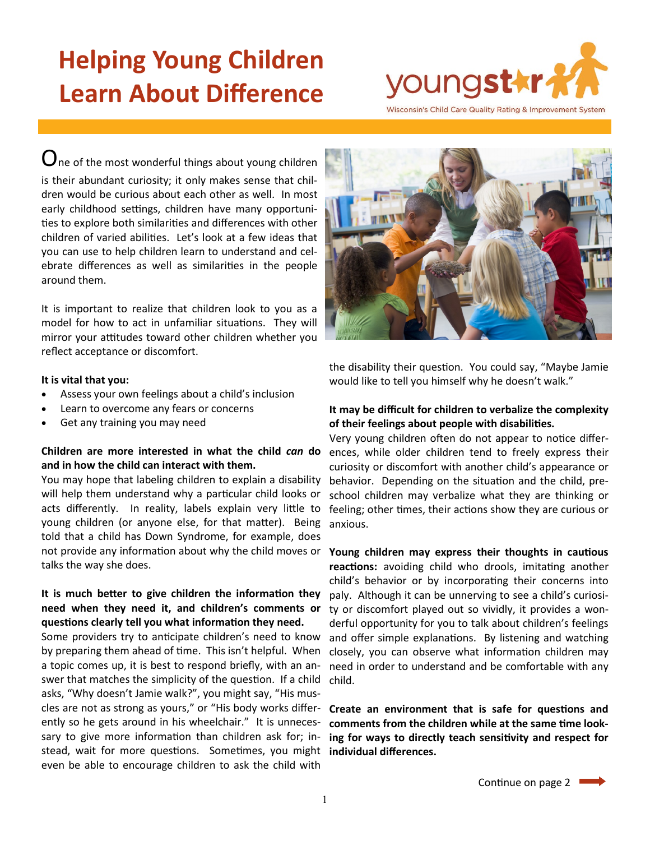## **Helping Young Children Learn About Difference**



 $\mathbf O$ ne of the most wonderful things about young children is their abundant curiosity; it only makes sense that children would be curious about each other as well. In most early childhood settings, children have many opportunities to explore both similarities and differences with other children of varied abilities. Let's look at a few ideas that you can use to help children learn to understand and celebrate differences as well as similarities in the people around them.

It is important to realize that children look to you as a model for how to act in unfamiliar situations. They will mirror your attitudes toward other children whether you reflect acceptance or discomfort.

#### **It is vital that you:**

- Assess your own feelings about a child's inclusion
- Learn to overcome any fears or concerns
- Get any training you may need

### **Children are more interested in what the child** *can* **do and in how the child can interact with them.**

You may hope that labeling children to explain a disability will help them understand why a particular child looks or acts differently. In reality, labels explain very little to young children (or anyone else, for that matter). Being told that a child has Down Syndrome, for example, does not provide any information about why the child moves or **Young children may express their thoughts in cautious**  talks the way she does.

## **It is much better to give children the information they need when they need it, and children's comments or questions clearly tell you what information they need.**

Some providers try to anticipate children's need to know by preparing them ahead of time. This isn't helpful. When a topic comes up, it is best to respond briefly, with an answer that matches the simplicity of the question. If a child asks, "Why doesn't Jamie walk?", you might say, "His muscles are not as strong as yours," or "His body works differently so he gets around in his wheelchair." It is unnecessary to give more information than children ask for; instead, wait for more questions. Sometimes, you might even be able to encourage children to ask the child with



the disability their question. You could say, "Maybe Jamie would like to tell you himself why he doesn't walk."

### **It may be difficult for children to verbalize the complexity of their feelings about people with disabilities.**

Very young children often do not appear to notice differences, while older children tend to freely express their curiosity or discomfort with another child's appearance or behavior. Depending on the situation and the child, preschool children may verbalize what they are thinking or feeling; other times, their actions show they are curious or anxious.

**reactions:** avoiding child who drools, imitating another child's behavior or by incorporating their concerns into paly. Although it can be unnerving to see a child's curiosity or discomfort played out so vividly, it provides a wonderful opportunity for you to talk about children's feelings and offer simple explanations. By listening and watching closely, you can observe what information children may need in order to understand and be comfortable with any child.

**Create an environment that is safe for questions and comments from the children while at the same time looking for ways to directly teach sensitivity and respect for individual differences.**